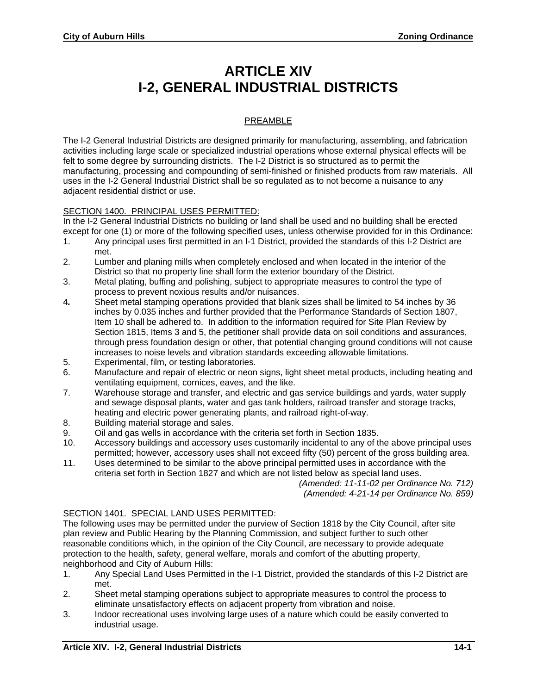## **ARTICLE XIV I-2, GENERAL INDUSTRIAL DISTRICTS**

## PREAMBLE

The I-2 General Industrial Districts are designed primarily for manufacturing, assembling, and fabrication activities including large scale or specialized industrial operations whose external physical effects will be felt to some degree by surrounding districts. The I-2 District is so structured as to permit the manufacturing, processing and compounding of semi-finished or finished products from raw materials. All uses in the I-2 General Industrial District shall be so regulated as to not become a nuisance to any adjacent residential district or use.

## SECTION 1400. PRINCIPAL USES PERMITTED:

In the I-2 General Industrial Districts no building or land shall be used and no building shall be erected except for one (1) or more of the following specified uses, unless otherwise provided for in this Ordinance:

- 1. Any principal uses first permitted in an I-1 District, provided the standards of this I-2 District are met.
- 2. Lumber and planing mills when completely enclosed and when located in the interior of the District so that no property line shall form the exterior boundary of the District.
- 3. Metal plating, buffing and polishing, subject to appropriate measures to control the type of process to prevent noxious results and/or nuisances.
- 4*.* Sheet metal stamping operations provided that blank sizes shall be limited to 54 inches by 36 inches by 0.035 inches and further provided that the Performance Standards of Section 1807, Item 10 shall be adhered to. In addition to the information required for Site Plan Review by Section 1815, Items 3 and 5, the petitioner shall provide data on soil conditions and assurances, through press foundation design or other, that potential changing ground conditions will not cause increases to noise levels and vibration standards exceeding allowable limitations.
- 5. Experimental, film, or testing laboratories.
- 6. Manufacture and repair of electric or neon signs, light sheet metal products, including heating and ventilating equipment, cornices, eaves, and the like.
- 7. Warehouse storage and transfer, and electric and gas service buildings and yards, water supply and sewage disposal plants, water and gas tank holders, railroad transfer and storage tracks, heating and electric power generating plants, and railroad right-of-way.
- 8. Building material storage and sales.
- 9. Oil and gas wells in accordance with the criteria set forth in Section 1835.
- 10. Accessory buildings and accessory uses customarily incidental to any of the above principal uses permitted; however, accessory uses shall not exceed fifty (50) percent of the gross building area.
- 11. Uses determined to be similar to the above principal permitted uses in accordance with the criteria set forth in Section 1827 and which are not listed below as special land uses.

*(Amended: 11-11-02 per Ordinance No. 712) (Amended: 4-21-14 per Ordinance No. 859)* 

## SECTION 1401. SPECIAL LAND USES PERMITTED:

The following uses may be permitted under the purview of Section 1818 by the City Council, after site plan review and Public Hearing by the Planning Commission, and subject further to such other reasonable conditions which, in the opinion of the City Council, are necessary to provide adequate protection to the health, safety, general welfare, morals and comfort of the abutting property, neighborhood and City of Auburn Hills:

- 1. Any Special Land Uses Permitted in the I-1 District, provided the standards of this I-2 District are met.
- 2. Sheet metal stamping operations subject to appropriate measures to control the process to eliminate unsatisfactory effects on adjacent property from vibration and noise.
- 3. Indoor recreational uses involving large uses of a nature which could be easily converted to industrial usage.